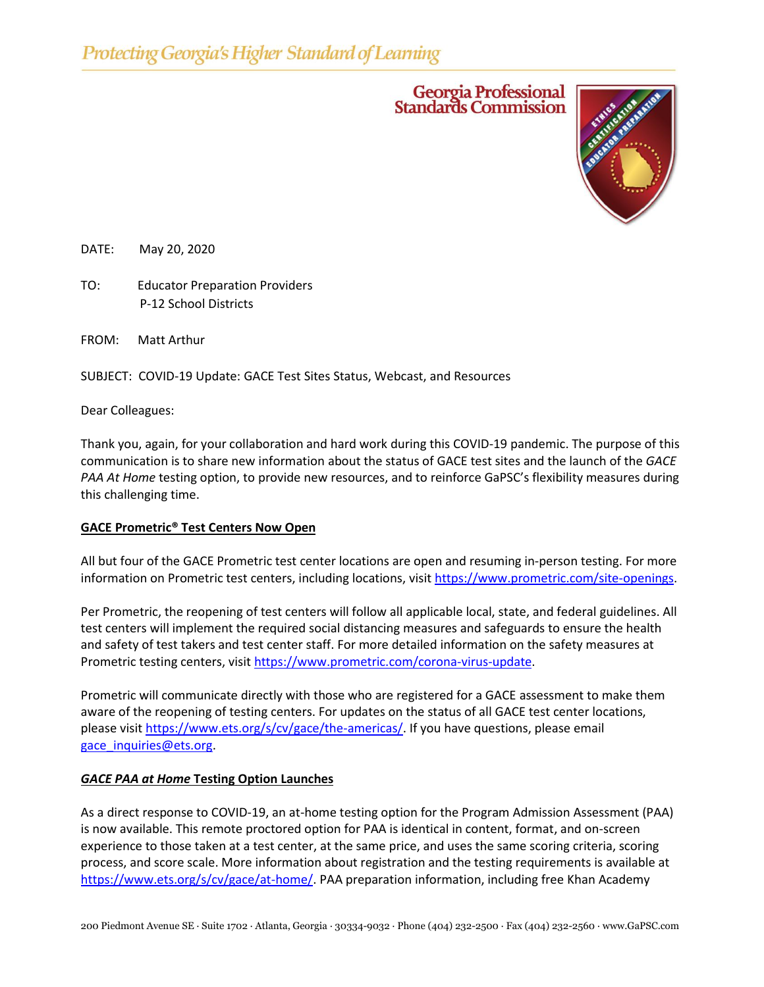# Georgia Professional<br>Standards Commission



DATE: May 20, 2020

TO: Educator Preparation Providers P-12 School Districts

FROM: Matt Arthur

SUBJECT: COVID-19 Update: GACE Test Sites Status, Webcast, and Resources

Dear Colleagues:

Thank you, again, for your collaboration and hard work during this COVID-19 pandemic. The purpose of this communication is to share new information about the status of GACE test sites and the launch of the *GACE PAA At Home* testing option, to provide new resources, and to reinforce GaPSC's flexibility measures during this challenging time.

## **GACE Prometric® Test Centers Now Open**

All but four of the GACE Prometric test center locations are open and resuming in-person testing. For more information on Prometric test centers, including locations, visit [https://www.prometric.com/site-openings.](https://www.prometric.com/site-openings)

Per Prometric, the reopening of test centers will follow all applicable local, state, and federal guidelines. All test centers will implement the required social distancing measures and safeguards to ensure the health and safety of test takers and test center staff. For more detailed information on the safety measures at Prometric testing centers, visit [https://www.prometric.com/corona-virus-update.](https://www.prometric.com/corona-virus-update)

Prometric will communicate directly with those who are registered for a GACE assessment to make them aware of the reopening of testing centers. For updates on the status of all GACE test center locations, please visit [https://www.ets.org/s/cv/gace/the-americas/.](https://www.ets.org/s/cv/gace/the-americas/) If you have questions, please email [gace\\_inquiries@ets.org.](mailto:gace_inquiries@ets.org)

## *GACE PAA at Home* **Testing Option Launches**

As a direct response to COVID-19, an at-home testing option for the Program Admission Assessment (PAA) is now available. This remote proctored option for PAA is identical in content, format, and on-screen experience to those taken at a test center, at the same price, and uses the same scoring criteria, scoring process, and score scale. More information about registration and the testing requirements is available at [https://www.ets.org/s/cv/gace/at-home/.](https://www.ets.org/s/cv/gace/at-home/) PAA preparation information, including free Khan Academy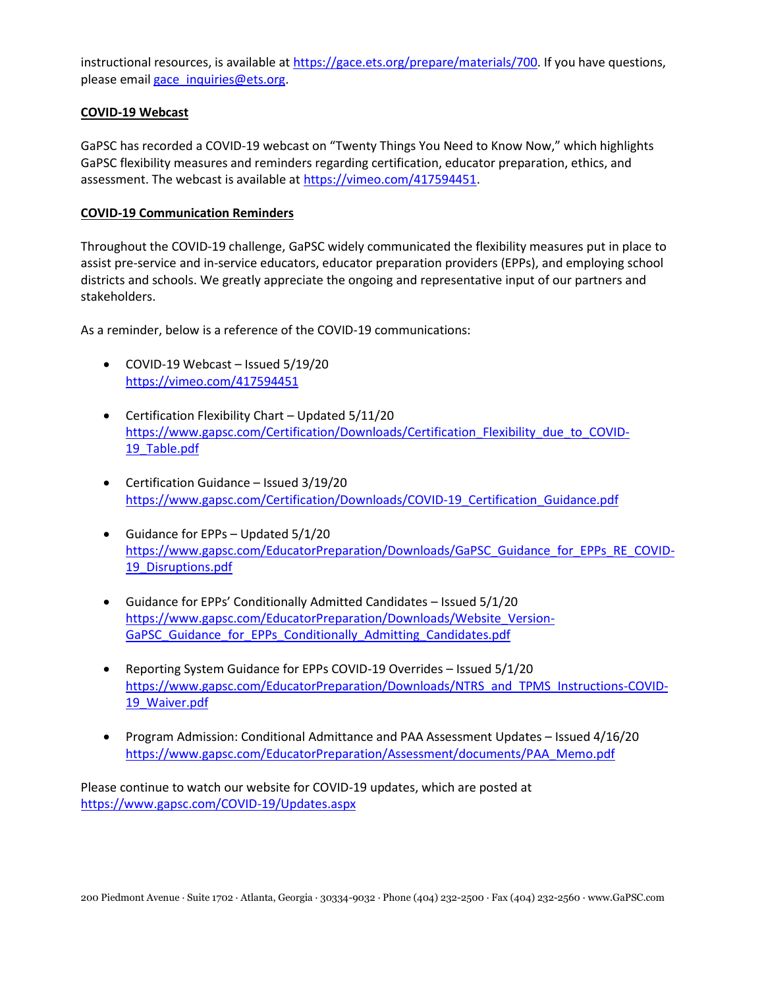instructional resources, is available at [https://gace.ets.org/prepare/materials/700.](https://gace.ets.org/prepare/materials/700) If you have questions, please email gace inquiries@ets.org.

## **COVID-19 Webcast**

GaPSC has recorded a COVID-19 webcast on "Twenty Things You Need to Know Now," which highlights GaPSC flexibility measures and reminders regarding certification, educator preparation, ethics, and assessment. The webcast is available at [https://vimeo.com/417594451.](https://vimeo.com/417594451)

## **COVID-19 Communication Reminders**

Throughout the COVID-19 challenge, GaPSC widely communicated the flexibility measures put in place to assist pre-service and in-service educators, educator preparation providers (EPPs), and employing school districts and schools. We greatly appreciate the ongoing and representative input of our partners and stakeholders.

As a reminder, below is a reference of the COVID-19 communications:

- COVID-19 Webcast Issued 5/19/20 <https://vimeo.com/417594451>
- Certification Flexibility Chart Updated 5/11/20 [https://www.gapsc.com/Certification/Downloads/Certification\\_Flexibility\\_due\\_to\\_COVID-](https://www.gapsc.com/Certification/Downloads/Certification_Flexibility_due_to_COVID-19_Table.pdf)19 Table.pdf
- Certification Guidance Issued 3/19/20 [https://www.gapsc.com/Certification/Downloads/COVID-19\\_Certification\\_Guidance.pdf](https://www.gapsc.com/Certification/Downloads/COVID-19_Certification_Guidance.pdf)
- Guidance for EPPs Updated 5/1/20 [https://www.gapsc.com/EducatorPreparation/Downloads/GaPSC\\_Guidance\\_for\\_EPPs\\_RE\\_COVID-](https://www.gapsc.com/EducatorPreparation/Downloads/GaPSC_Guidance_for_EPPs_RE_COVID-19_Disruptions.pdf)19 Disruptions.pdf
- $\bullet$  Guidance for EPPs' Conditionally Admitted Candidates Issued 5/1/20 [https://www.gapsc.com/EducatorPreparation/Downloads/Website\\_Version-](https://www.gapsc.com/EducatorPreparation/Downloads/Website_Version-GaPSC_Guidance_for_EPPs_Conditionally_Admitting_Candidates.pdf)[GaPSC\\_Guidance\\_for\\_EPPs\\_Conditionally\\_Admitting\\_Candidates.pdf](https://www.gapsc.com/EducatorPreparation/Downloads/Website_Version-GaPSC_Guidance_for_EPPs_Conditionally_Admitting_Candidates.pdf)
- Reporting System Guidance for EPPs COVID-19 Overrides Issued 5/1/20 [https://www.gapsc.com/EducatorPreparation/Downloads/NTRS\\_and\\_TPMS\\_Instructions-COVID-](https://www.gapsc.com/EducatorPreparation/Downloads/NTRS_and_TPMS_Instructions-COVID-19_Waiver.pdf)19 Waiver.pdf
- Program Admission: Conditional Admittance and PAA Assessment Updates Issued 4/16/20 [https://www.gapsc.com/EducatorPreparation/Assessment/documents/PAA\\_Memo.pdf](https://www.gapsc.com/EducatorPreparation/Assessment/documents/PAA_Memo.pdf)

Please continue to watch our website for COVID-19 updates, which are posted at <https://www.gapsc.com/COVID-19/Updates.aspx>